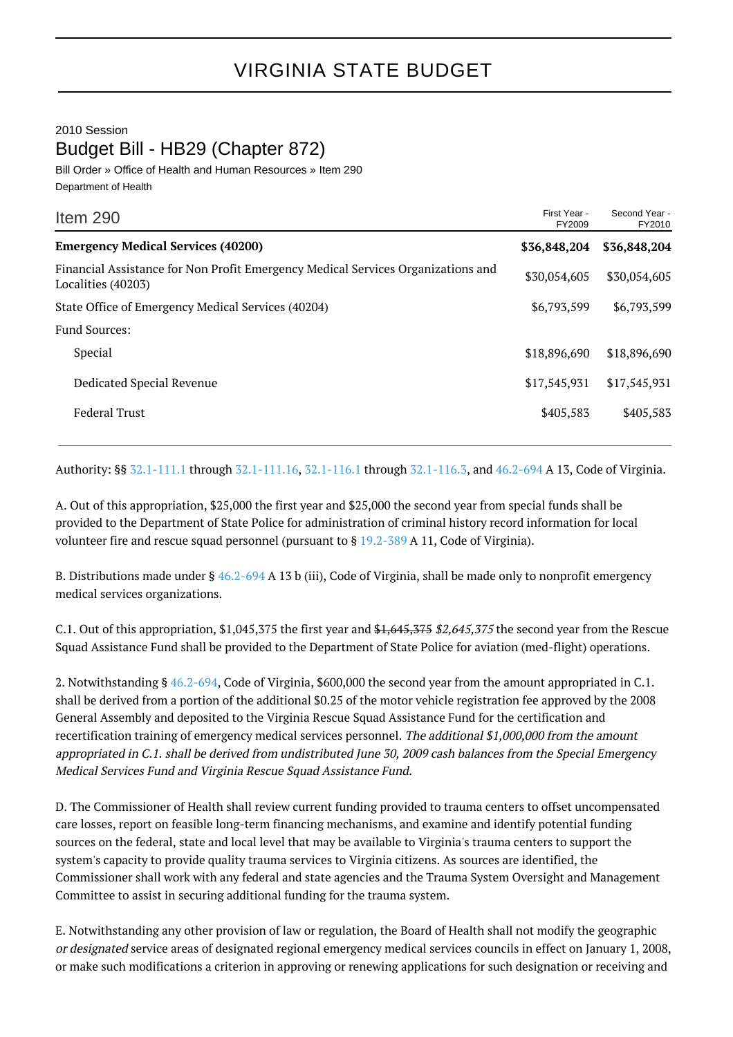## 2010 Session Budget Bill - HB29 (Chapter 872)

Bill Order » Office of Health and Human Resources » Item 290 Department of Health

| Item 290                                                                                               | First Year -<br>FY2009 | Second Year -<br>FY2010 |
|--------------------------------------------------------------------------------------------------------|------------------------|-------------------------|
| <b>Emergency Medical Services (40200)</b>                                                              | \$36,848,204           | \$36,848,204            |
| Financial Assistance for Non Profit Emergency Medical Services Organizations and<br>Localities (40203) | \$30,054,605           | \$30,054,605            |
| State Office of Emergency Medical Services (40204)                                                     | \$6,793,599            | \$6,793,599             |
| <b>Fund Sources:</b>                                                                                   |                        |                         |
| Special                                                                                                | \$18,896,690           | \$18,896,690            |
| Dedicated Special Revenue                                                                              | \$17,545,931           | \$17,545,931            |
| <b>Federal Trust</b>                                                                                   | \$405,583              | \$405,583               |
|                                                                                                        |                        |                         |

Authority: §§ [32.1-111.1](http://law.lis.virginia.gov/vacode/32.1-111.1/) through [32.1-111.16](http://law.lis.virginia.gov/vacode/32.1-111.16/), [32.1-116.1](http://law.lis.virginia.gov/vacode/32.1-116.1/) through [32.1-116.3,](http://law.lis.virginia.gov/vacode/32.1-116.3/) and [46.2-694](http://law.lis.virginia.gov/vacode/46.2-694/) A 13, Code of Virginia.

A. Out of this appropriation, \$25,000 the first year and \$25,000 the second year from special funds shall be provided to the Department of State Police for administration of criminal history record information for local volunteer fire and rescue squad personnel (pursuant to § [19.2-389](http://law.lis.virginia.gov/vacode/19.2-389/) A 11, Code of Virginia).

B. Distributions made under § [46.2-694](http://law.lis.virginia.gov/vacode/46.2-694/) A 13 b (iii), Code of Virginia, shall be made only to nonprofit emergency medical services organizations.

C.1. Out of this appropriation, \$1,045,375 the first year and  $$1,645,375 $2,645,375$  the second year from the Rescue Squad Assistance Fund shall be provided to the Department of State Police for aviation (med-flight) operations.

2. Notwithstanding § [46.2-694,](http://law.lis.virginia.gov/vacode/46.2-694/) Code of Virginia, \$600,000 the second year from the amount appropriated in C.1. shall be derived from a portion of the additional \$0.25 of the motor vehicle registration fee approved by the 2008 General Assembly and deposited to the Virginia Rescue Squad Assistance Fund for the certification and recertification training of emergency medical services personnel. The additional \$1,000,000 from the amount appropriated in C.1. shall be derived from undistributed June 30, 2009 cash balances from the Special Emergency Medical Services Fund and Virginia Rescue Squad Assistance Fund.

D. The Commissioner of Health shall review current funding provided to trauma centers to offset uncompensated care losses, report on feasible long-term financing mechanisms, and examine and identify potential funding sources on the federal, state and local level that may be available to Virginia's trauma centers to support the system's capacity to provide quality trauma services to Virginia citizens. As sources are identified, the Commissioner shall work with any federal and state agencies and the Trauma System Oversight and Management Committee to assist in securing additional funding for the trauma system.

E. Notwithstanding any other provision of law or regulation, the Board of Health shall not modify the geographic or designated service areas of designated regional emergency medical services councils in effect on January 1, 2008, or make such modifications a criterion in approving or renewing applications for such designation or receiving and